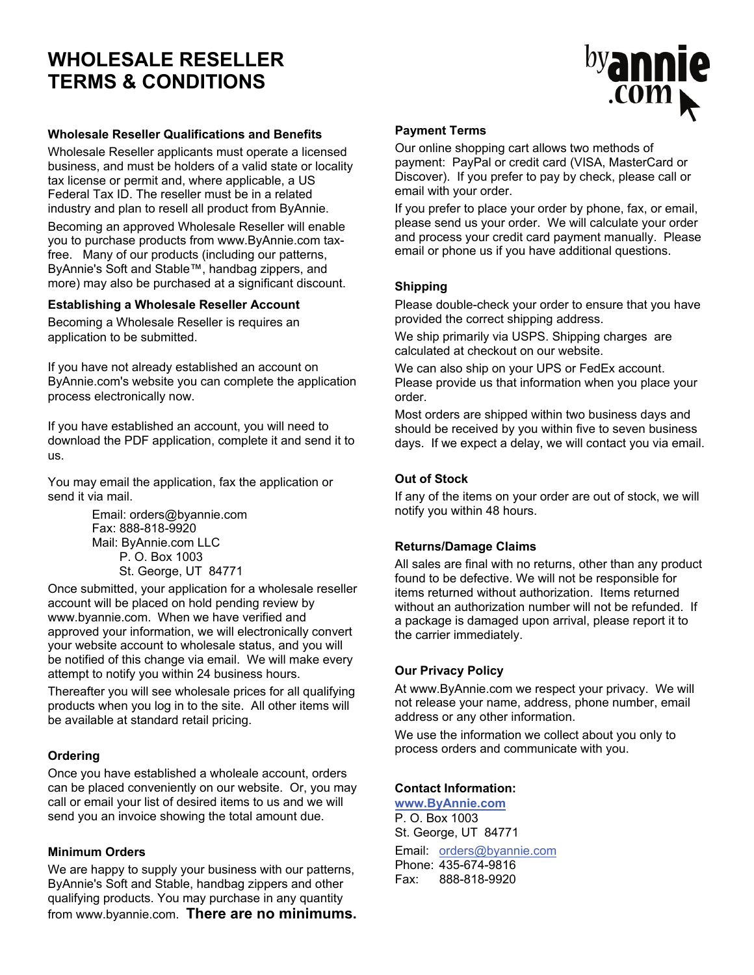# **WHOLESALE RESELLER TERMS & CONDITIONS**



#### **Wholesale Reseller Qualifications and Benefits**

Wholesale Reseller applicants must operate a licensed business, and must be holders of a valid state or locality tax license or permit and, where applicable, a US Federal Tax ID. The reseller must be in a related industry and plan to resell all product from ByAnnie.

Becoming an approved Wholesale Reseller will enable you to purchase products from www.ByAnnie.com taxfree. Many of our products (including our patterns, ByAnnie's Soft and Stable™, handbag zippers, and more) may also be purchased at a significant discount.

#### **Establishing a Wholesale Reseller Account**

Becoming a Wholesale Reseller is requires an application to be submitted.

If you have not already established an account on ByAnnie.com's website you can complete the application process electronically now.

If you have established an account, you will need to download the PDF application, complete it and send it to us.

You may email the application, fax the application or send it via mail.

> Email: orders@byannie.com Fax: 888-818-9920 Mail: ByAnnie.com LLC P. O. Box 1003 St. George, UT 84771

Once submitted, your application for a wholesale reseller account will be placed on hold pending review by www.byannie.com. When we have verified and approved your information, we will electronically convert your website account to wholesale status, and you will be notified of this change via email. We will make every attempt to notify you within 24 business hours.

Thereafter you will see wholesale prices for all qualifying products when you log in to the site. All other items will be available at standard retail pricing.

# **Ordering**

Once you have established a wholeale account, orders can be placed conveniently on our website. Or, you may call or email your list of desired items to us and we will send you an invoice showing the total amount due.

# **Minimum Orders**

We are happy to supply your business with our patterns, ByAnnie's Soft and Stable, handbag zippers and other qualifying products. You may purchase in any quantity from www.byannie.com. **There are no minimums.**

#### **Payment Terms**

Our online shopping cart allows two methods of payment: PayPal or credit card (VISA, MasterCard or Discover). If you prefer to pay by check, please call or email with your order.

If you prefer to place your order by phone, fax, or email, please send us your order. We will calculate your order and process your credit card payment manually. Please email or phone us if you have additional questions.

#### **Shipping**

Please double-check your order to ensure that you have provided the correct shipping address.

We ship primarily via USPS. Shipping charges are calculated at checkout on our website.

We can also ship on your UPS or FedEx account. Please provide us that information when you place your order.

Most orders are shipped within two business days and should be received by you within five to seven business days. If we expect a delay, we will contact you via email.

#### **Out of Stock**

If any of the items on your order are out of stock, we will notify you within 48 hours.

# **Returns/Damage Claims**

All sales are final with no returns, other than any product found to be defective. We will not be responsible for items returned without authorization. Items returned without an authorization number will not be refunded. If a package is damaged upon arrival, please report it to the carrier immediately.

#### **Our Privacy Policy**

At www.ByAnnie.com we respect your privacy. We will not release your name, address, phone number, email address or any other information.

We use the information we collect about you only to process orders and communicate with you.

# **Contact Information:**

**www.ByAnnie.com** P. O. Box 1003 St. George, UT 84771 Email: orders@byannie.com Phone: 435-674-9816 Fax: 888-818-9920